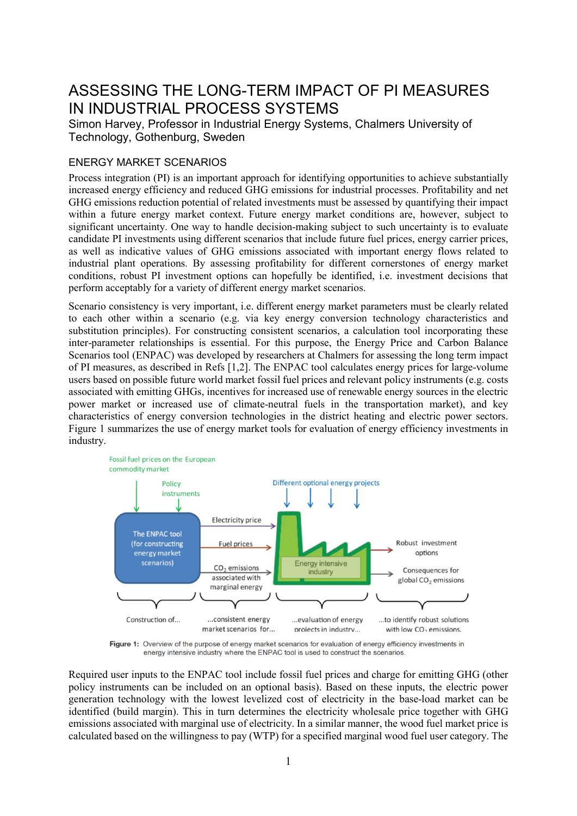# ASSESSING THE LONG-TERM IMPACT OF PI MEASURES IN INDUSTRIAL PROCESS SYSTEMS

Simon Harvey, Professor in Industrial Energy Systems, Chalmers University of Technology, Gothenburg, Sweden

## ENERGY MARKET SCENARIOS

Process integration (PI) is an important approach for identifying opportunities to achieve substantially increased energy efficiency and reduced GHG emissions for industrial processes. Profitability and net GHG emissions reduction potential of related investments must be assessed by quantifying their impact within a future energy market context. Future energy market conditions are, however, subject to significant uncertainty. One way to handle decision-making subject to such uncertainty is to evaluate candidate PI investments using different scenarios that include future fuel prices, energy carrier prices, as well as indicative values of GHG emissions associated with important energy flows related to industrial plant operations. By assessing profitability for different cornerstones of energy market conditions, robust PI investment options can hopefully be identified, i.e. investment decisions that perform acceptably for a variety of different energy market scenarios.

Scenario consistency is very important, i.e. different energy market parameters must be clearly related to each other within a scenario (e.g. via key energy conversion technology characteristics and substitution principles). For constructing consistent scenarios, a calculation tool incorporating these inter-parameter relationships is essential. For this purpose, the Energy Price and Carbon Balance Scenarios tool (ENPAC) was developed by researchers at Chalmers for assessing the long term impact of PI measures, as described in Refs [1,2]. The ENPAC tool calculates energy prices for large-volume users based on possible future world market fossil fuel prices and relevant policy instruments (e.g. costs associated with emitting GHGs, incentives for increased use of renewable energy sources in the electric power market or increased use of climate-neutral fuels in the transportation market), and key characteristics of energy conversion technologies in the district heating and electric power sectors. Figure 1 summarizes the use of energy market tools for evaluation of energy efficiency investments in industry.



Figure 1: Overview of the purpose of energy market scenarios for evaluation of energy efficiency investments in energy intensive industry where the ENPAC tool is used to construct the scenarios.

Required user inputs to the ENPAC tool include fossil fuel prices and charge for emitting GHG (other policy instruments can be included on an optional basis). Based on these inputs, the electric power generation technology with the lowest levelized cost of electricity in the base-load market can be identified (build margin). This in turn determines the electricity wholesale price together with GHG emissions associated with marginal use of electricity. In a similar manner, the wood fuel market price is calculated based on the willingness to pay (WTP) for a specified marginal wood fuel user category. The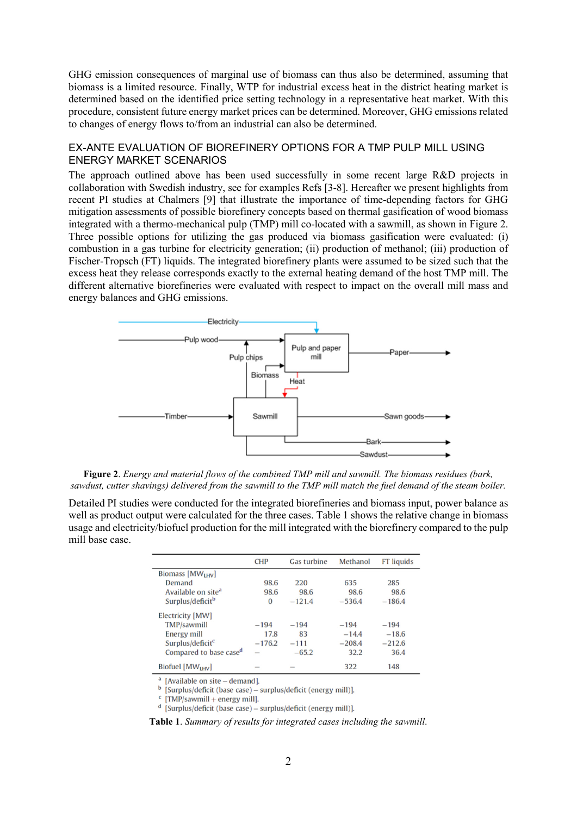GHG emission consequences of marginal use of biomass can thus also be determined, assuming that biomass is a limited resource. Finally, WTP for industrial excess heat in the district heating market is determined based on the identified price setting technology in a representative heat market. With this procedure, consistent future energy market prices can be determined. Moreover, GHG emissions related to changes of energy flows to/from an industrial can also be determined.

### EX-ANTE EVALUATION OF BIOREFINERY OPTIONS FOR A TMP PULP MILL USING ENERGY MARKET SCENARIOS

The approach outlined above has been used successfully in some recent large R&D projects in collaboration with Swedish industry, see for examples Refs [3-8]. Hereafter we present highlights from recent PI studies at Chalmers [9] that illustrate the importance of time-depending factors for GHG mitigation assessments of possible biorefinery concepts based on thermal gasification of wood biomass integrated with a thermo-mechanical pulp (TMP) mill co-located with a sawmill, as shown in Figure 2. Three possible options for utilizing the gas produced via biomass gasification were evaluated: (i) combustion in a gas turbine for electricity generation; (ii) production of methanol; (iii) production of Fischer-Tropsch (FT) liquids. The integrated biorefinery plants were assumed to be sized such that the excess heat they release corresponds exactly to the external heating demand of the host TMP mill. The different alternative biorefineries were evaluated with respect to impact on the overall mill mass and energy balances and GHG emissions.



**Figure 2**. *Energy and material flows of the combined TMP mill and sawmill. The biomass residues (bark, sawdust, cutter shavings) delivered from the sawmill to the TMP mill match the fuel demand of the steam boiler.*

Detailed PI studies were conducted for the integrated biorefineries and biomass input, power balance as well as product output were calculated for the three cases. Table 1 shows the relative change in biomass usage and electricity/biofuel production for the mill integrated with the biorefinery compared to the pulp mill base case.

|                                    | <b>CHP</b> | <b>Gas turbine</b> | Methanol | FT liquids |
|------------------------------------|------------|--------------------|----------|------------|
| Biomass [MW <sub>LHV</sub> ]       |            |                    |          |            |
| Demand                             | 98.6       | 220                | 635      | 285        |
| Available on site <sup>a</sup>     | 98.6       | 98.6               | 98.6     | 98.6       |
| Surplus/deficit <sup>b</sup>       | 0          | $-121.4$           | $-536.4$ | $-186.4$   |
| Electricity [MW]                   |            |                    |          |            |
| TMP/sawmill                        | $-194$     | $-194$             | $-194$   | $-194$     |
| Energy mill                        | 17.8       | 83                 | $-14.4$  | $-18.6$    |
| Surplus/deficit <sup>c</sup>       | $-176.2$   | $-111$             | $-208.4$ | $-212.6$   |
| Compared to base case <sup>d</sup> |            | $-65.2$            | 32.2     | 36.4       |
| Biofuel [MW <sub>LHV</sub> ]       |            |                    | 322      | 148        |

[Available on site - demand].

<sup>b</sup> [Surplus/deficit (base case) – surplus/deficit (energy mill)].

 $\mathbf c$  $[TMP/sawmill + energy mill].$ 

 $d$  [Surplus/deficit (base case) – surplus/deficit (energy mill)].

**Table 1**. *Summary of results for integrated cases including the sawmill*.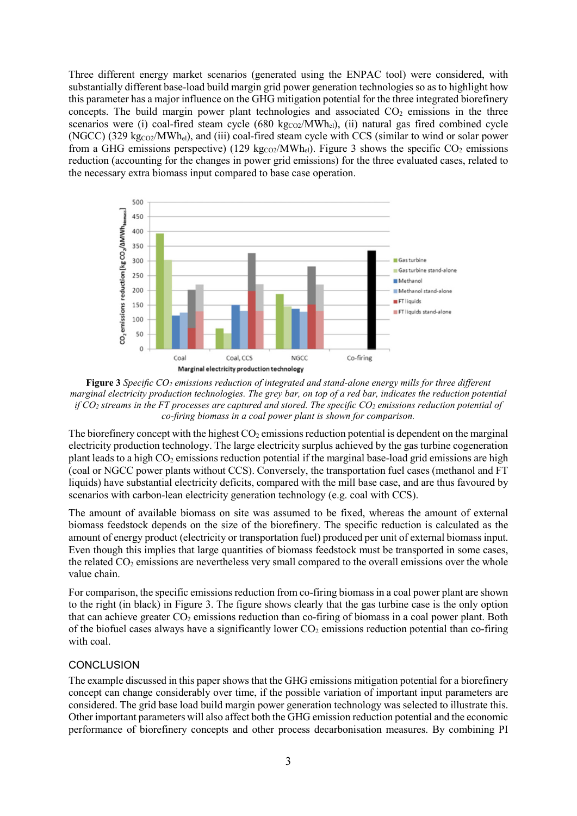Three different energy market scenarios (generated using the ENPAC tool) were considered, with substantially different base-load build margin grid power generation technologies so as to highlight how this parameter has a major influence on the GHG mitigation potential for the three integrated biorefinery concepts. The build margin power plant technologies and associated  $CO<sub>2</sub>$  emissions in the three scenarios were (i) coal-fired steam cycle  $(680 \text{ kg}_{CO2}/\text{MWh}_{el})$ , (ii) natural gas fired combined cycle (NGCC) (329 kg<sub>CO2</sub>/MWh<sub>el</sub>), and (iii) coal-fired steam cycle with CCS (similar to wind or solar power from a GHG emissions perspective) (129 kg $_{CO2}/MWh_{el}$ ). Figure 3 shows the specific CO<sub>2</sub> emissions reduction (accounting for the changes in power grid emissions) for the three evaluated cases, related to the necessary extra biomass input compared to base case operation.



**Figure 3** *Specific CO<sup>2</sup> emissions reduction of integrated and stand-alone energy mills for three different marginal electricity production technologies. The grey bar, on top of a red bar, indicates the reduction potential if CO<sup>2</sup> streams in the FT processes are captured and stored. The specific CO<sup>2</sup> emissions reduction potential of co-firing biomass in a coal power plant is shown for comparison.*

The biorefinery concept with the highest  $CO<sub>2</sub>$  emissions reduction potential is dependent on the marginal electricity production technology. The large electricity surplus achieved by the gas turbine cogeneration plant leads to a high  $CO<sub>2</sub>$  emissions reduction potential if the marginal base-load grid emissions are high (coal or NGCC power plants without CCS). Conversely, the transportation fuel cases (methanol and FT liquids) have substantial electricity deficits, compared with the mill base case, and are thus favoured by scenarios with carbon-lean electricity generation technology (e.g. coal with CCS).

The amount of available biomass on site was assumed to be fixed, whereas the amount of external biomass feedstock depends on the size of the biorefinery. The specific reduction is calculated as the amount of energy product (electricity or transportation fuel) produced per unit of external biomass input. Even though this implies that large quantities of biomass feedstock must be transported in some cases, the related  $CO<sub>2</sub>$  emissions are nevertheless very small compared to the overall emissions over the whole value chain.

For comparison, the specific emissions reduction from co-firing biomass in a coal power plant are shown to the right (in black) in Figure 3. The figure shows clearly that the gas turbine case is the only option that can achieve greater  $CO<sub>2</sub>$  emissions reduction than co-firing of biomass in a coal power plant. Both of the biofuel cases always have a significantly lower  $CO<sub>2</sub>$  emissions reduction potential than co-firing with coal.

## **CONCLUSION**

The example discussed in this paper shows that the GHG emissions mitigation potential for a biorefinery concept can change considerably over time, if the possible variation of important input parameters are considered. The grid base load build margin power generation technology was selected to illustrate this. Other important parameters will also affect both the GHG emission reduction potential and the economic performance of biorefinery concepts and other process decarbonisation measures. By combining PI